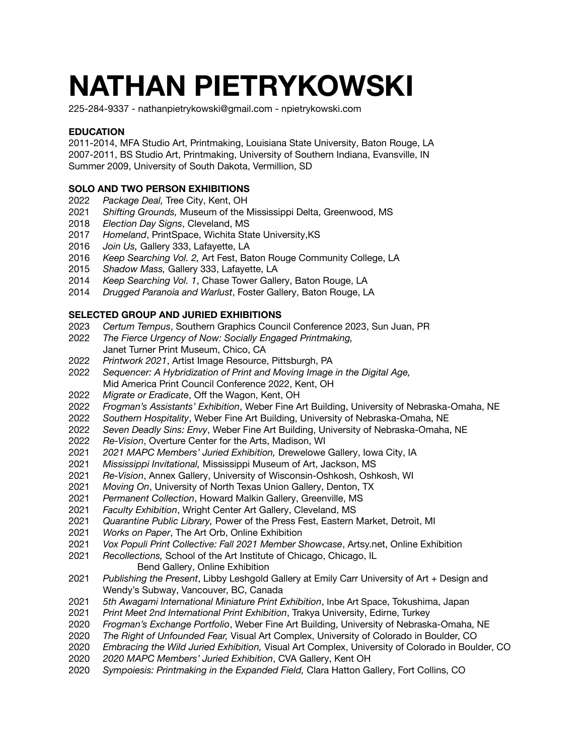# **NATHAN PIETRYKOWSKI**

225-284-9337 - nathanpietrykowski@gmail.com - [npietrykowski.com](https://npietrykowski.com/)

## **EDUCATION**

2011-2014, MFA Studio Art, Printmaking, Louisiana State University, Baton Rouge, LA 2007-2011, BS Studio Art, Printmaking, University of Southern Indiana, Evansville, IN Summer 2009, University of South Dakota, Vermillion, SD

## **SOLO AND TWO PERSON EXHIBITIONS**

- *Package Deal,* Tree City, Kent, OH
- *Shifting Grounds,* Museum of the Mississippi Delta, Greenwood, MS
- *Election Day Signs*, Cleveland, MS
- *Homeland*, PrintSpace, Wichita State University,KS
- *Join Us,* Gallery 333, Lafayette, LA
- *Keep Searching Vol. 2,* Art Fest, Baton Rouge Community College, LA
- *Shadow Mass,* Gallery 333, Lafayette, LA
- *Keep Searching Vol. 1*, Chase Tower Gallery, Baton Rouge, LA
- *Drugged Paranoia and Warlust*, Foster Gallery, Baton Rouge, LA

## **SELECTED GROUP AND JURIED EXHIBITIONS**

- *Certum Tempus*, Southern Graphics Council Conference 2023, Sun Juan, PR
- *The Fierce Urgency of Now: Socially Engaged Printmaking,* Janet Turner Print Museum, Chico, CA
- *Printwork 2021*, Artist Image Resource, Pittsburgh, PA
- *Sequencer: A Hybridization of Print and Moving Image in the Digital Age,* Mid America Print Council Conference 2022, Kent, OH
- *Migrate or Eradicate*, Off the Wagon, Kent, OH
- *Frogman's Assistants' Exhibition*, Weber Fine Art Building, University of Nebraska-Omaha, NE
- *Southern Hospitality*, Weber Fine Art Building, University of Nebraska-Omaha, NE
- *Seven Deadly Sins: Envy*, Weber Fine Art Building, University of Nebraska-Omaha, NE
- *Re-Vision*, Overture Center for the Arts, Madison, WI
- *2021 MAPC Members' Juried Exhibition,* Drewelowe Gallery, Iowa City, IA
- *Mississippi Invitational,* Mississippi Museum of Art, Jackson, MS
- *Re-Vision*, Annex Gallery, University of Wisconsin-Oshkosh, Oshkosh, WI
- *Moving On*, University of North Texas Union Gallery, Denton, TX
- *Permanent Collection*, Howard Malkin Gallery, Greenville, MS
- *Faculty Exhibition*, Wright Center Art Gallery, Cleveland, MS
- *Quarantine Public Library,* Power of the Press Fest, Eastern Market, Detroit, MI
- *Works on Paper*, The Art Orb, Online Exhibition
- *Vox Populi Print Collective: Fall 2021 Member Showcase*, Artsy.net, Online Exhibition
- *Recollections,* School of the Art Institute of Chicago, Chicago, IL Bend Gallery, Online Exhibition
- *Publishing the Present*, Libby Leshgold Gallery at Emily Carr University of Art + Design and Wendy's Subway, Vancouver, BC, Canada
- *5th Awagami International Miniature Print Exhibition*, Inbe Art Space, Tokushima, Japan
- *Print Meet 2nd International Print Exhibition*, Trakya University, Edirne, Turkey
- *Frogman's Exchange Portfolio*, Weber Fine Art Building, University of Nebraska-Omaha, NE
- *The Right of Unfounded Fear,* Visual Art Complex, University of Colorado in Boulder, CO
- *Embracing the Wild Juried Exhibition,* Visual Art Complex, University of Colorado in Boulder, CO
- *2020 MAPC Members' Juried Exhibition*, CVA Gallery, Kent OH
- *Sympoiesis: Printmaking in the Expanded Field,* Clara Hatton Gallery, Fort Collins, CO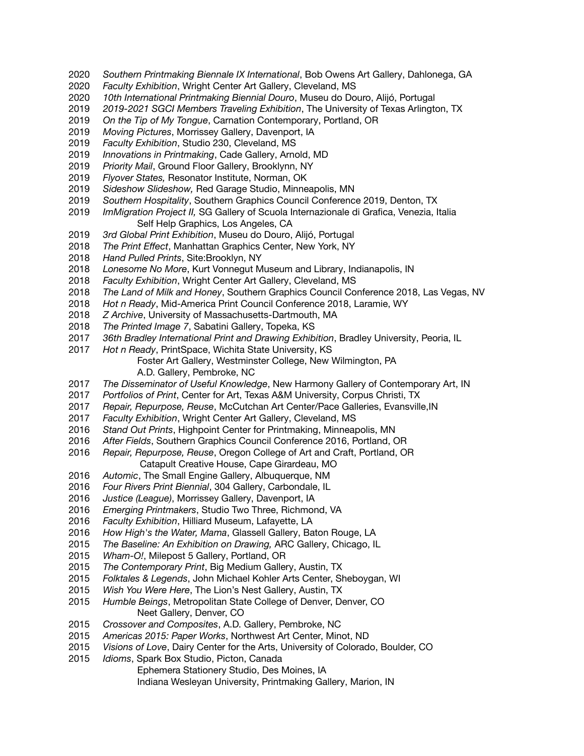- *Southern Printmaking Biennale IX International*, Bob Owens Art Gallery, Dahlonega, GA
- *Faculty Exhibition*, Wright Center Art Gallery, Cleveland, MS
- *10th International Printmaking Biennial Douro*, Museu do Douro, Alijó, Portugal
- *2019-2021 SGCI Members Traveling Exhibition*, The University of Texas Arlington, TX
- *On the Tip of My Tongue*, Carnation Contemporary, Portland, OR
- *Moving Pictures*, Morrissey Gallery, Davenport, IA
- *Faculty Exhibition*, Studio 230, Cleveland, MS
- *Innovations in Printmaking*, Cade Gallery, Arnold, MD
- *Priority Mail*, Ground Floor Gallery, Brooklynn, NY
- *Flyover States,* Resonator Institute, Norman, OK
- *Sideshow Slideshow,* Red Garage Studio, Minneapolis, MN
- *Southern Hospitality*, Southern Graphics Council Conference 2019, Denton, TX
- *ImMigration Project II,* SG Gallery of Scuola Internazionale di Grafica, Venezia, Italia Self Help Graphics, Los Angeles, CA
- *3rd Global Print Exhibition*, Museu do Douro, Alijó, Portugal
- *The Print Effect*, Manhattan Graphics Center, New York, NY
- *Hand Pulled Prints*, Site:Brooklyn, NY
- *Lonesome No More*, Kurt Vonnegut Museum and Library, Indianapolis, IN
- *Faculty Exhibition*, Wright Center Art Gallery, Cleveland, MS
- *The Land of Milk and Honey*, Southern Graphics Council Conference 2018, Las Vegas, NV
- *Hot n Ready*, Mid-America Print Council Conference 2018, Laramie, WY
- *Z Archive*, University of Massachusetts-Dartmouth, MA
- *The Printed Image 7*, Sabatini Gallery, Topeka, KS
- *36th Bradley International Print and Drawing Exhibition*, Bradley University, Peoria, IL
- *Hot n Ready*, PrintSpace, Wichita State University, KS Foster Art Gallery, Westminster College, New Wilmington, PA A.D. Gallery, Pembroke, NC
- *The Disseminator of Useful Knowledge*, New Harmony Gallery of Contemporary Art, IN
- *Portfolios of Print*, Center for Art, Texas A&M University, Corpus Christi, TX
- *Repair, Repurpose, Reuse*, McCutchan Art Center/Pace Galleries, Evansville,IN
- *Faculty Exhibition*, Wright Center Art Gallery, Cleveland, MS
- *Stand Out Prints*, Highpoint Center for Printmaking, Minneapolis, MN
- *After Fields*, Southern Graphics Council Conference 2016, Portland, OR
- *Repair, Repurpose, Reuse*, Oregon College of Art and Craft, Portland, OR
	- Catapult Creative House, Cape Girardeau, MO
- *Automic*, The Small Engine Gallery, Albuquerque, NM
- *Four Rivers Print Biennial*, 304 Gallery, Carbondale, IL
- *Justice (League)*, Morrissey Gallery, Davenport, IA
- *Emerging Printmakers*, Studio Two Three, Richmond, VA
- *Faculty Exhibition*, Hilliard Museum, Lafayette, LA
- *How High's the Water, Mama*, Glassell Gallery, Baton Rouge, LA
- *The Baseline: An Exhibition on Drawing,* ARC Gallery, Chicago, IL
- *Wham-O!*, Milepost 5 Gallery, Portland, OR
- *The Contemporary Print*, Big Medium Gallery, Austin, TX
- *Folktales & Legends*, John Michael Kohler Arts Center, Sheboygan, WI
- *Wish You Were Here*, The Lion's Nest Gallery, Austin, TX
- *Humble Beings*, Metropolitan State College of Denver, Denver, CO Neet Gallery, Denver, CO
- *Crossover and Composites*, A.D. Gallery, Pembroke, NC
- *Americas 2015: Paper Works*, Northwest Art Center, Minot, ND
- *Visions of Love*, Dairy Center for the Arts, University of Colorado, Boulder, CO
- *Idioms*, Spark Box Studio, Picton, Canada
	- Ephemera Stationery Studio, Des Moines, IA
	- Indiana Wesleyan University, Printmaking Gallery, Marion, IN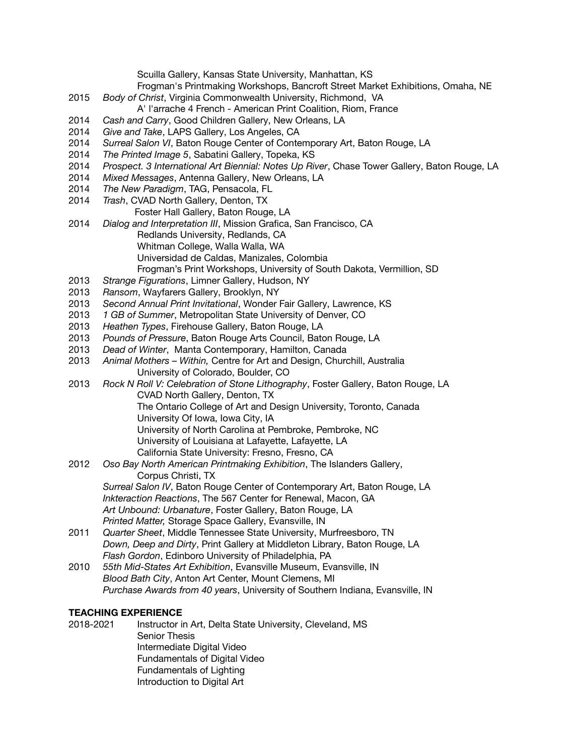Scuilla Gallery, Kansas State University, Manhattan, KS

Frogman's Printmaking Workshops, Bancroft Street Market Exhibitions, Omaha, NE

2015 *Body of Christ*, Virginia Commonwealth University, Richmond, VA

A' l'arrache 4 French - American Print Coalition, Riom, France

- 2014 *Cash and Carry*, Good Children Gallery, New Orleans, LA
- 2014 *Give and Take*, LAPS Gallery, Los Angeles, CA
- 2014 *Surreal Salon VI*, Baton Rouge Center of Contemporary Art, Baton Rouge, LA
- 2014 *The Printed Image 5*, Sabatini Gallery, Topeka, KS
- 2014 *Prospect. 3 International Art Biennial: Notes Up River*, Chase Tower Gallery, Baton Rouge, LA
- 2014 *Mixed Messages*, Antenna Gallery, New Orleans, LA
- 2014 *The New Paradigm*, TAG, Pensacola, FL
- 2014 *Trash*, CVAD North Gallery, Denton, TX

Foster Hall Gallery, Baton Rouge, LA

- 2014 *Dialog and Interpretation III*, Mission Grafica, San Francisco, CA Redlands University, Redlands, CA Whitman College, Walla Walla, WA Universidad de Caldas, Manizales, Colombia
	- Frogman's Print Workshops, University of South Dakota, Vermillion, SD
- 2013 *Strange Figurations*, Limner Gallery, Hudson, NY
- 2013 *Ransom*, Wayfarers Gallery, Brooklyn, NY
- 2013 *Second Annual Print Invitational*, Wonder Fair Gallery, Lawrence, KS
- 2013 *1 GB of Summer*, Metropolitan State University of Denver, CO
- 2013 *Heathen Types*, Firehouse Gallery, Baton Rouge, LA
- 2013 *Pounds of Pressure*, Baton Rouge Arts Council, Baton Rouge, LA
- 2013 *Dead of Winter*, Manta Contemporary, Hamilton, Canada
- 2013 *Animal Mothers – Within,* Centre for Art and Design, Churchill, Australia University of Colorado, Boulder, CO
- 2013 *Rock N Roll V: Celebration of Stone Lithography*, Foster Gallery, Baton Rouge, LA CVAD North Gallery, Denton, TX The Ontario College of Art and Design University, Toronto, Canada University Of Iowa, Iowa City, IA University of North Carolina at Pembroke, Pembroke, NC
	- University of Louisiana at Lafayette, Lafayette, LA
	- California State University: Fresno, Fresno, CA
- 2012 *Oso Bay North American Printmaking Exhibition*, The Islanders Gallery, Corpus Christi, TX *Surreal Salon IV*, Baton Rouge Center of Contemporary Art, Baton Rouge, LA *Inkteraction Reactions*, The 567 Center for Renewal, Macon, GA *Art Unbound: Urbanature*, Foster Gallery, Baton Rouge, LA *Printed Matter,* Storage Space Gallery, Evansville, IN
- 2011 *Quarter Sheet*, Middle Tennessee State University, Murfreesboro, TN *Down, Deep and Dirty*, Print Gallery at Middleton Library, Baton Rouge, LA *Flash Gordon*, Edinboro University of Philadelphia, PA
- 2010 *55th Mid-States Art Exhibition*, Evansville Museum, Evansville, IN *Blood Bath City*, Anton Art Center, Mount Clemens, MI *Purchase Awards from 40 years*, University of Southern Indiana, Evansville, IN

### **TEACHING EXPERIENCE**

2018-2021 Instructor in Art, Delta State University, Cleveland, MS Senior Thesis Intermediate Digital Video Fundamentals of Digital Video Fundamentals of Lighting Introduction to Digital Art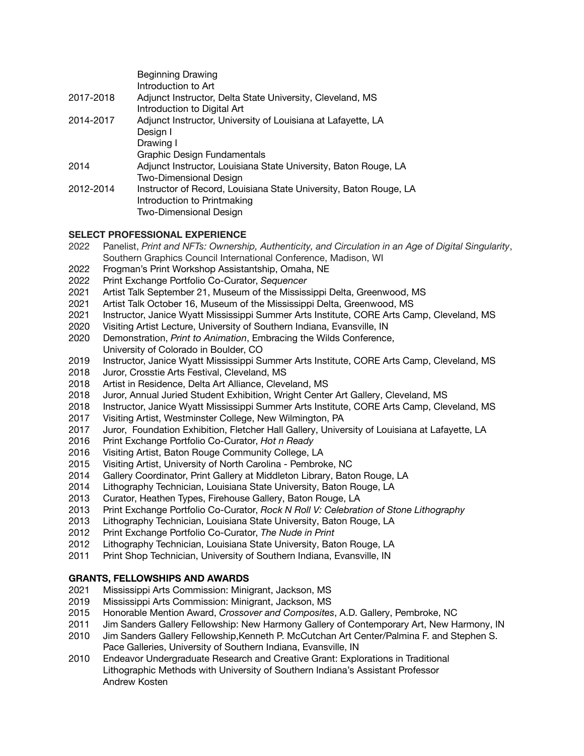| <b>Beginning Drawing</b>                                          |
|-------------------------------------------------------------------|
| Introduction to Art                                               |
| Adjunct Instructor, Delta State University, Cleveland, MS         |
| Introduction to Digital Art                                       |
| Adjunct Instructor, University of Louisiana at Lafayette, LA      |
| Design I                                                          |
| Drawing I                                                         |
| Graphic Design Fundamentals                                       |
| Adjunct Instructor, Louisiana State University, Baton Rouge, LA   |
| <b>Two-Dimensional Design</b>                                     |
| Instructor of Record, Louisiana State University, Baton Rouge, LA |
| Introduction to Printmaking                                       |
| <b>Two-Dimensional Design</b>                                     |
|                                                                   |

### **SELECT PROFESSIONAL EXPERIENCE**

- Panelist, *Print and NFTs: Ownership, Authenticity, and Circulation in an Age of Digital Singularity*, Southern Graphics Council International Conference, Madison, WI
- Frogman's Print Workshop Assistantship, Omaha, NE
- Print Exchange Portfolio Co-Curator, *Sequencer*
- Artist Talk September 21, Museum of the Mississippi Delta, Greenwood, MS
- Artist Talk October 16, Museum of the Mississippi Delta, Greenwood, MS
- Instructor, Janice Wyatt Mississippi Summer Arts Institute, CORE Arts Camp, Cleveland, MS
- Visiting Artist Lecture, University of Southern Indiana, Evansville, IN
- Demonstration, *Print to Animation*, Embracing the Wilds Conference, University of Colorado in Boulder, CO
- Instructor, Janice Wyatt Mississippi Summer Arts Institute, CORE Arts Camp, Cleveland, MS
- Juror, Crosstie Arts Festival, Cleveland, MS
- Artist in Residence, Delta Art Alliance, Cleveland, MS
- Juror, Annual Juried Student Exhibition, Wright Center Art Gallery, Cleveland, MS
- Instructor, Janice Wyatt Mississippi Summer Arts Institute, CORE Arts Camp, Cleveland, MS
- Visiting Artist, Westminster College, New Wilmington, PA
- Juror, Foundation Exhibition, Fletcher Hall Gallery, University of Louisiana at Lafayette, LA
- Print Exchange Portfolio Co-Curator, *Hot n Ready*
- Visiting Artist, Baton Rouge Community College, LA
- Visiting Artist, University of North Carolina Pembroke, NC
- Gallery Coordinator, Print Gallery at Middleton Library, Baton Rouge, LA
- Lithography Technician, Louisiana State University, Baton Rouge, LA
- Curator, Heathen Types, Firehouse Gallery, Baton Rouge, LA
- Print Exchange Portfolio Co-Curator, *Rock N Roll V: Celebration of Stone Lithography*
- Lithography Technician, Louisiana State University, Baton Rouge, LA
- Print Exchange Portfolio Co-Curator, *The Nude in Print*
- Lithography Technician, Louisiana State University, Baton Rouge, LA
- 2011 Print Shop Technician, University of Southern Indiana, Evansville, IN

## **GRANTS, FELLOWSHIPS AND AWARDS**

- Mississippi Arts Commission: Minigrant, Jackson, MS
- Mississippi Arts Commission: Minigrant, Jackson, MS
- Honorable Mention Award, *Crossover and Composites*, A.D. Gallery, Pembroke, NC
- Jim Sanders Gallery Fellowship: New Harmony Gallery of Contemporary Art, New Harmony, IN
- Jim Sanders Gallery Fellowship,Kenneth P. McCutchan Art Center/Palmina F. and Stephen S. Pace Galleries, University of Southern Indiana, Evansville, IN
- Endeavor Undergraduate Research and Creative Grant: Explorations in Traditional Lithographic Methods with University of Southern Indiana's Assistant Professor Andrew Kosten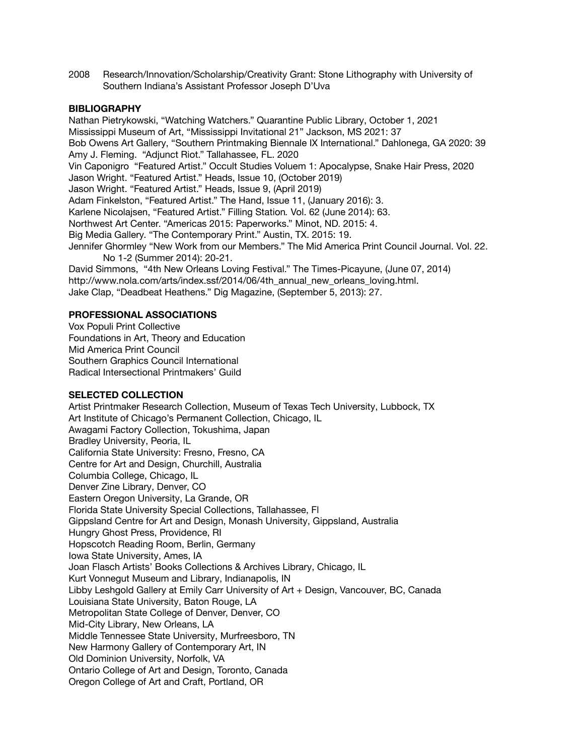2008 Research/Innovation/Scholarship/Creativity Grant: Stone Lithography with University of Southern Indiana's Assistant Professor Joseph D'Uva

#### **BIBLIOGRAPHY**

Nathan Pietrykowski, "Watching Watchers." Quarantine Public Library, October 1, 2021 Mississippi Museum of Art, "Mississippi Invitational 21" Jackson, MS 2021: 37 Bob Owens Art Gallery, "Southern Printmaking Biennale IX International." Dahlonega, GA 2020: 39 Amy J. Fleming. "Adjunct Riot." Tallahassee, FL. 2020 Vin Caponigro "Featured Artist." Occult Studies Voluem 1: Apocalypse, Snake Hair Press, 2020 Jason Wright. "Featured Artist." Heads, Issue 10, (October 2019) Jason Wright. "Featured Artist." Heads, Issue 9, (April 2019) Adam Finkelston, "Featured Artist." The Hand, Issue 11, (January 2016): 3. Karlene Nicolajsen, "Featured Artist." Filling Station*.* Vol. 62 (June 2014): 63. Northwest Art Center. "Americas 2015: Paperworks." Minot, ND. 2015: 4. Big Media Gallery. "The Contemporary Print." Austin, TX. 2015: 19. Jennifer Ghormley "New Work from our Members." The Mid America Print Council Journal. Vol. 22. No 1-2 (Summer 2014): 20-21. David Simmons, "4th New Orleans Loving Festival." The Times-Picayune, (June 07, 2014)

http://www.nola.com/arts/index.ssf/2014/06/4th\_annual\_new\_orleans\_loving.html.

Jake Clap, "Deadbeat Heathens." Dig Magazine, (September 5, 2013): 27.

#### **PROFESSIONAL ASSOCIATIONS**

Vox Populi Print Collective Foundations in Art, Theory and Education Mid America Print Council Southern Graphics Council International Radical Intersectional Printmakers' Guild

### **SELECTED COLLECTION**

Artist Printmaker Research Collection, Museum of Texas Tech University, Lubbock, TX Art Institute of Chicago's Permanent Collection, Chicago, IL Awagami Factory Collection, Tokushima, Japan Bradley University, Peoria, IL California State University: Fresno, Fresno, CA Centre for Art and Design, Churchill, Australia Columbia College, Chicago, IL Denver Zine Library, Denver, CO Eastern Oregon University, La Grande, OR Florida State University Special Collections, Tallahassee, Fl Gippsland Centre for Art and Design, Monash University, Gippsland, Australia Hungry Ghost Press, Providence, RI Hopscotch Reading Room, Berlin, Germany Iowa State University, Ames, IA Joan Flasch Artists' Books Collections & Archives Library, Chicago, IL Kurt Vonnegut Museum and Library, Indianapolis, IN Libby Leshgold Gallery at Emily Carr University of Art + Design, Vancouver, BC, Canada Louisiana State University, Baton Rouge, LA Metropolitan State College of Denver, Denver, CO Mid-City Library, New Orleans, LA Middle Tennessee State University, Murfreesboro, TN New Harmony Gallery of Contemporary Art, IN Old Dominion University, Norfolk, VA Ontario College of Art and Design, Toronto, Canada Oregon College of Art and Craft, Portland, OR